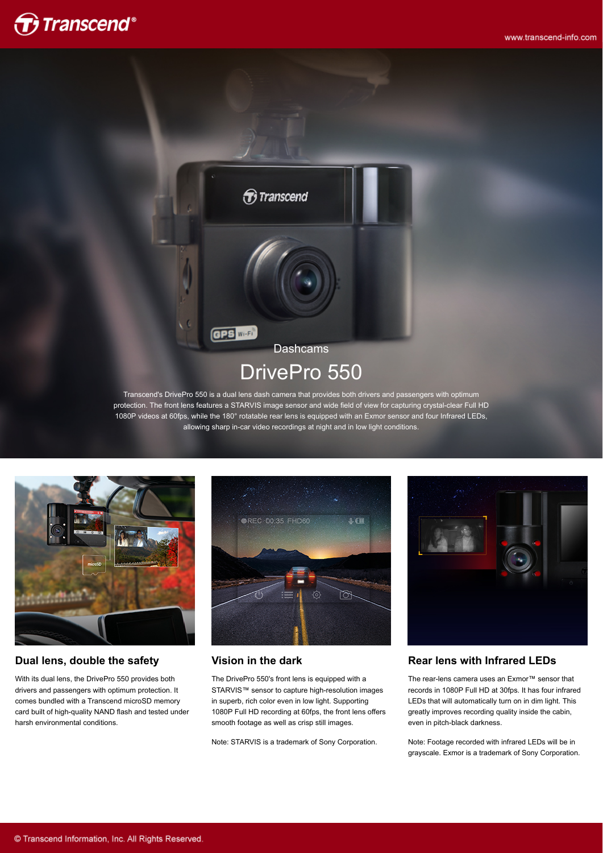



protection. The front lens features a STARVIS image sensor and wide field of view for capturing crystal-clear Full HD 1080P videos at 60fps, while the 180° rotatable rear lens is equipped with an Exmor sensor and four Infrared LEDs, allowing sharp in-car video recordings at night and in low light conditions.



#### **Dual lens, double the safety**

With its dual lens, the DrivePro 550 provides both drivers and passengers with optimum protection. It comes bundled with a Transcend microSD memory card built of high-quality NAND flash and tested under harsh environmental conditions.



#### **Vision in the dark**

The DrivePro 550's front lens is equipped with a STARVIS™ sensor to capture high-resolution images in superb, rich color even in low light. Supporting 1080P Full HD recording at 60fps, the front lens offers smooth footage as well as crisp still images.

Note: STARVIS is a trademark of Sony Corporation.



#### **Rear lens with Infrared LEDs**

The rear-lens camera uses an Exmor™ sensor that records in 1080P Full HD at 30fps. It has four infrared LEDs that will automatically turn on in dim light. This greatly improves recording quality inside the cabin, even in pitch-black darkness.

Note: Footage recorded with infrared LEDs will be in grayscale. Exmor is a trademark of Sony Corporation.